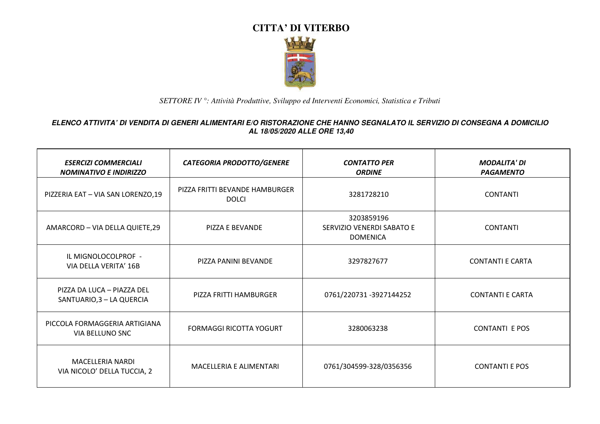

| <b>ESERCIZI COMMERCIALI</b><br><b>NOMINATIVO E INDIRIZZO</b> | <b>CATEGORIA PRODOTTO/GENERE</b>               | <b>CONTATTO PER</b><br><b>ORDINE</b>                       | <b>MODALITA' DI</b><br><b>PAGAMENTO</b> |
|--------------------------------------------------------------|------------------------------------------------|------------------------------------------------------------|-----------------------------------------|
| PIZZERIA EAT - VIA SAN LORENZO,19                            | PIZZA FRITTI BEVANDE HAMBURGER<br><b>DOLCI</b> | 3281728210                                                 | <b>CONTANTI</b>                         |
| AMARCORD - VIA DELLA QUIETE, 29                              | PIZZA E BEVANDE                                | 3203859196<br>SERVIZIO VENERDI SABATO E<br><b>DOMENICA</b> | <b>CONTANTI</b>                         |
| IL MIGNOLOCOLPROF -<br>VIA DELLA VERITA' 16B                 | PIZZA PANINI BEVANDE                           | 3297827677                                                 | <b>CONTANTI E CARTA</b>                 |
| PIZZA DA LUCA - PIAZZA DEL<br>SANTUARIO, 3 - LA QUERCIA      | PIZZA FRITTI HAMBURGER                         | 0761/220731 -3927144252                                    | <b>CONTANTI E CARTA</b>                 |
| PICCOLA FORMAGGERIA ARTIGIANA<br>VIA BELLUNO SNC             | <b>FORMAGGI RICOTTA YOGURT</b>                 | 3280063238                                                 | <b>CONTANTI E POS</b>                   |
| <b>MACELLERIA NARDI</b><br>VIA NICOLO' DELLA TUCCIA, 2       | MACELLERIA E ALIMENTARI                        | 0761/304599-328/0356356                                    | <b>CONTANTI E POS</b>                   |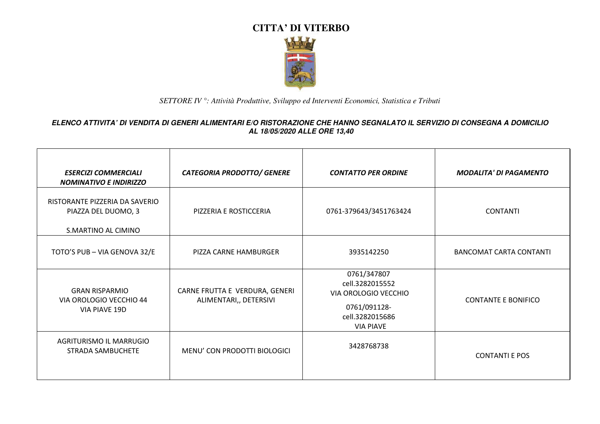

| <b>ESERCIZI COMMERCIALI</b><br><b>NOMINATIVO E INDIRIZZO</b>                 | <b>CATEGORIA PRODOTTO/ GENERE</b>                        | <b>CONTATTO PER ORDINE</b>                                                                                    | <b>MODALITA' DI PAGAMENTO</b>  |
|------------------------------------------------------------------------------|----------------------------------------------------------|---------------------------------------------------------------------------------------------------------------|--------------------------------|
| RISTORANTE PIZZERIA DA SAVERIO<br>PIAZZA DEL DUOMO, 3<br>S.MARTINO AL CIMINO | PIZZERIA E ROSTICCERIA                                   | 0761-379643/3451763424                                                                                        | <b>CONTANTI</b>                |
| TOTO'S PUB - VIA GENOVA 32/E                                                 | PIZZA CARNE HAMBURGER                                    | 3935142250                                                                                                    | <b>BANCOMAT CARTA CONTANTI</b> |
| <b>GRAN RISPARMIO</b><br>VIA OROLOGIO VECCHIO 44<br>VIA PIAVE 19D            | CARNE FRUTTA E VERDURA, GENERI<br>ALIMENTARI,, DETERSIVI | 0761/347807<br>cell.3282015552<br>VIA OROLOGIO VECCHIO<br>0761/091128-<br>cell.3282015686<br><b>VIA PIAVE</b> | <b>CONTANTE E BONIFICO</b>     |
| AGRITURISMO IL MARRUGIO<br>STRADA SAMBUCHETE                                 | MENU' CON PRODOTTI BIOLOGICI                             | 3428768738                                                                                                    | <b>CONTANTI E POS</b>          |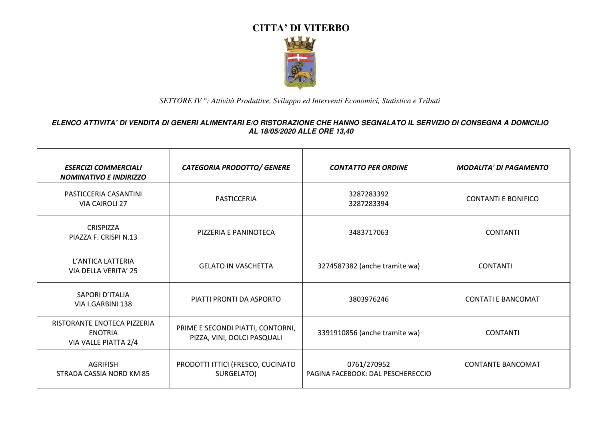

| <b>ESERCIZI COMMERCIALI</b><br><b>NOMINATIVO E INDIRIZZO</b>          | <b>CATEGORIA PRODOTTO/ GENERE</b>                                | <b>CONTATTO PER ORDINE</b>                       | <b>MODALITA' DI PAGAMENTO</b> |
|-----------------------------------------------------------------------|------------------------------------------------------------------|--------------------------------------------------|-------------------------------|
| PASTICCERIA CASANTINI<br><b>VIA CAIROLI 27</b>                        | PASTICCERIA                                                      | 3287283392<br>3287283394                         | <b>CONTANTI E BONIFICO</b>    |
| <b>CRISPIZZA</b><br>PIAZZA F. CRISPI N.13                             | PIZZERIA E PANINOTECA                                            | 3483717063                                       | <b>CONTANTI</b>               |
| L'ANTICA LATTERIA<br>VIA DELLA VERITA' 25                             | <b>GELATO IN VASCHETTA</b>                                       | 3274587382 (anche tramite wa)                    | <b>CONTANTI</b>               |
| SAPORI D'ITALIA<br>VIA I.GARBINI 138                                  | PIATTI PRONTI DA ASPORTO                                         | 3803976246                                       | <b>CONTATI E BANCOMAT</b>     |
| RISTORANTE ENOTECA PIZZERIA<br><b>ENOTRIA</b><br>VIA VALLE PIATTA 2/4 | PRIME E SECONDI PIATTI, CONTORNI,<br>PIZZA, VINI, DOLCI PASQUALI | 3391910856 (anche tramite wa)                    | <b>CONTANTI</b>               |
| <b>AGRIFISH</b><br>STRADA CASSIA NORD KM 85                           | PRODOTTI ITTICI (FRESCO, CUCINATO<br>SURGELATO)                  | 0761/270952<br>PAGINA FACEBOOK: DAL PESCHERECCIO | <b>CONTANTE BANCOMAT</b>      |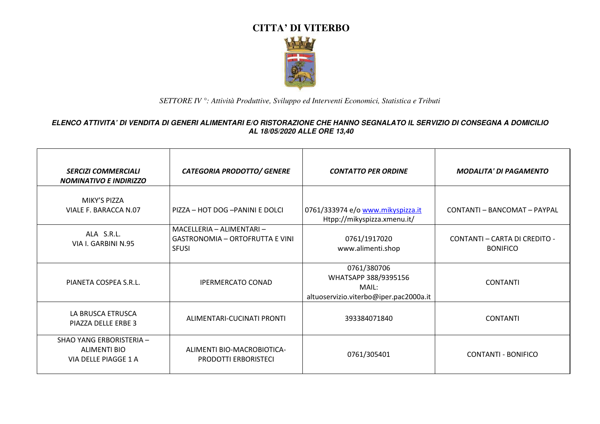

| <b>SERCIZI COMMERCIALI</b><br><b>NOMINATIVO E INDIRIZZO</b>      | <b>CATEGORIA PRODOTTO/ GENERE</b>                                                   | <b>CONTATTO PER ORDINE</b>                                                             | <b>MODALITA' DI PAGAMENTO</b>                    |
|------------------------------------------------------------------|-------------------------------------------------------------------------------------|----------------------------------------------------------------------------------------|--------------------------------------------------|
| MIKY'S PIZZA<br>VIALE F. BARACCA N.07                            | PIZZA - HOT DOG - PANINI E DOLCI                                                    | 0761/333974 e/o www.mikyspizza.it<br>Htpp://mikyspizza.xmenu.it/                       | CONTANTI - BANCOMAT - PAYPAL                     |
| ALA S.R.L.<br>VIA I. GARBINI N.95                                | MACELLERIA - ALIMENTARI -<br><b>GASTRONOMIA - ORTOFRUTTA E VINI</b><br><b>SFUSI</b> | 0761/1917020<br>www.alimenti.shop                                                      | CONTANTI - CARTA DI CREDITO -<br><b>BONIFICO</b> |
| PIANETA COSPEA S.R.L.                                            | <b>IPERMERCATO CONAD</b>                                                            | 0761/380706<br>WHATSAPP 388/9395156<br>MAIL:<br>altuoservizio.viterbo@iper.pac2000a.it | <b>CONTANTI</b>                                  |
| LA BRUSCA ETRUSCA<br>PIAZZA DELLE ERBE 3                         | ALIMENTARI-CUCINATI PRONTI                                                          | 393384071840                                                                           | <b>CONTANTI</b>                                  |
| SHAO YANG ERBORISTERIA -<br>ALIMENTI BIO<br>VIA DELLE PIAGGE 1 A | ALIMENTI BIO-MACROBIOTICA-<br><b>PRODOTTI ERBORISTECI</b>                           | 0761/305401                                                                            | <b>CONTANTI - BONIFICO</b>                       |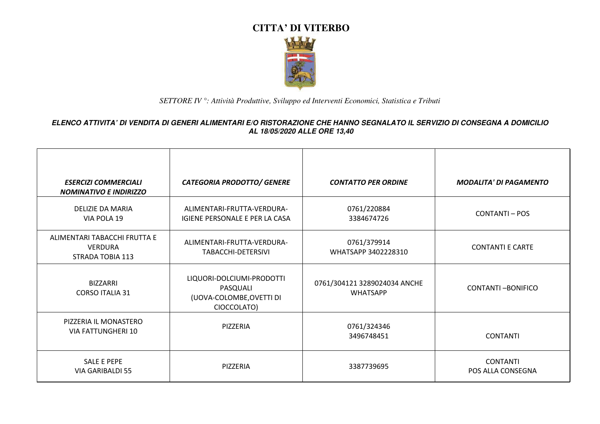

| <b>ESERCIZI COMMERCIALI</b><br><b>NOMINATIVO E INDIRIZZO</b>       | <b>CATEGORIA PRODOTTO/ GENERE</b>                                                | <b>CONTATTO PER ORDINE</b>                      | <b>MODALITA' DI PAGAMENTO</b>        |
|--------------------------------------------------------------------|----------------------------------------------------------------------------------|-------------------------------------------------|--------------------------------------|
| <b>DELIZIE DA MARIA</b><br>VIA POLA 19                             | ALIMENTARI-FRUTTA-VERDURA-<br>IGIENE PERSONALE E PER LA CASA                     | 0761/220884<br>3384674726                       | CONTANTI - POS                       |
| ALIMENTARI TABACCHI FRUTTA E<br><b>VERDURA</b><br>STRADA TOBIA 113 | ALIMENTARI-FRUTTA-VERDURA-<br>TABACCHI-DETERSIVI                                 | 0761/379914<br>WHATSAPP 3402228310              | <b>CONTANTI E CARTE</b>              |
| <b>BIZZARRI</b><br><b>CORSO ITALIA 31</b>                          | LIQUORI-DOLCIUMI-PRODOTTI<br>PASQUALI<br>(UOVA-COLOMBE, OVETTI DI<br>CIOCCOLATO) | 0761/304121 3289024034 ANCHE<br><b>WHATSAPP</b> | <b>CONTANTI-BONIFICO</b>             |
| PIZZERIA IL MONASTERO<br>VIA FATTUNGHERI 10                        | PIZZERIA                                                                         | 0761/324346<br>3496748451                       | <b>CONTANTI</b>                      |
| SALE E PEPE<br><b>VIA GARIBALDI 55</b>                             | PIZZERIA                                                                         | 3387739695                                      | <b>CONTANTI</b><br>POS ALLA CONSEGNA |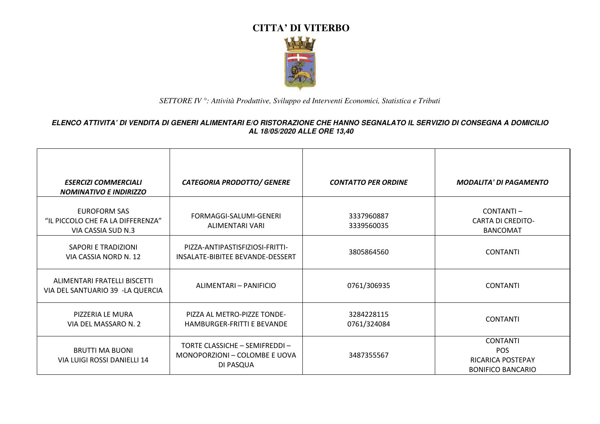

| <b>ESERCIZI COMMERCIALI</b><br><b>NOMINATIVO E INDIRIZZO</b>                   | <b>CATEGORIA PRODOTTO/ GENERE</b>                                            | <b>CONTATTO PER ORDINE</b> | <b>MODALITA' DI PAGAMENTO</b>                                                         |
|--------------------------------------------------------------------------------|------------------------------------------------------------------------------|----------------------------|---------------------------------------------------------------------------------------|
| <b>EUROFORM SAS</b><br>"IL PICCOLO CHE FA LA DIFFERENZA"<br>VIA CASSIA SUD N.3 | FORMAGGI-SALUMI-GENERI<br>ALIMENTARI VARI                                    | 3337960887<br>3339560035   | CONTANTI-<br><b>CARTA DI CREDITO-</b><br><b>BANCOMAT</b>                              |
| SAPORI E TRADIZIONI<br>VIA CASSIA NORD N. 12                                   | PIZZA-ANTIPASTISFIZIOSI-FRITTI-<br>INSALATE-BIBITEE BEVANDE-DESSERT          | 3805864560                 | <b>CONTANTI</b>                                                                       |
| ALIMENTARI FRATELLI BISCETTI<br>VIA DEL SANTUARIO 39 -LA QUERCIA               | ALIMENTARI - PANIFICIO                                                       | 0761/306935                | <b>CONTANTI</b>                                                                       |
| PIZZERIA LE MURA<br>VIA DEL MASSARO N. 2                                       | PIZZA AL METRO-PIZZE TONDE-<br>HAMBURGER-FRITTI E BEVANDE                    | 3284228115<br>0761/324084  | <b>CONTANTI</b>                                                                       |
| <b>BRUTTI MA BUONI</b><br>VIA LUIGI ROSSI DANIELLI 14                          | TORTE CLASSICHE - SEMIFREDDI -<br>MONOPORZIONI - COLOMBE E UOVA<br>DI PASQUA | 3487355567                 | <b>CONTANTI</b><br><b>POS</b><br><b>RICARICA POSTEPAY</b><br><b>BONIFICO BANCARIO</b> |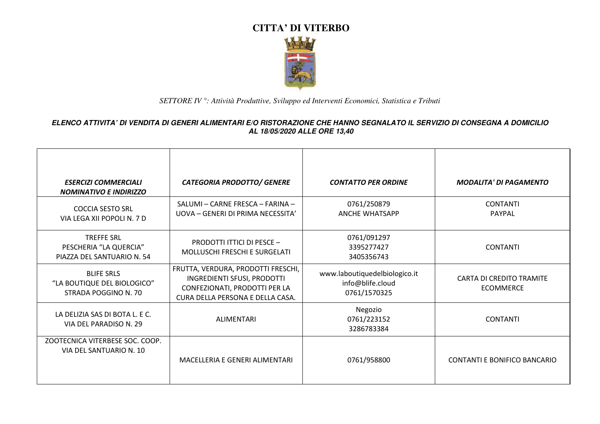

| <b>ESERCIZI COMMERCIALI</b><br><b>NOMINATIVO E INDIRIZZO</b>              | <b>CATEGORIA PRODOTTO/ GENERE</b>                                                                                                      | <b>CONTATTO PER ORDINE</b>                                        | <b>MODALITA' DI PAGAMENTO</b>                       |
|---------------------------------------------------------------------------|----------------------------------------------------------------------------------------------------------------------------------------|-------------------------------------------------------------------|-----------------------------------------------------|
| <b>COCCIA SESTO SRL</b><br>VIA LEGA XII POPOLI N. 7 D                     | SALUMI - CARNE FRESCA - FARINA -<br>UOVA – GENERI DI PRIMA NECESSITA'                                                                  | 0761/250879<br><b>ANCHE WHATSAPP</b>                              | <b>CONTANTI</b><br><b>PAYPAL</b>                    |
| <b>TREFFE SRL</b><br>PESCHERIA "LA QUERCIA"<br>PIAZZA DEL SANTUARIO N. 54 | <b>PRODOTTI ITTICI DI PESCE -</b><br>MOLLUSCHI FRESCHI E SURGELATI                                                                     | 0761/091297<br>3395277427<br>3405356743                           | <b>CONTANTI</b>                                     |
| <b>BLIFE SRLS</b><br>"LA BOUTIQUE DEL BIOLOGICO"<br>STRADA POGGINO N. 70  | FRUTTA, VERDURA, PRODOTTI FRESCHI,<br>INGREDIENTI SFUSI, PRODOTTI<br>CONFEZIONATI, PRODOTTI PER LA<br>CURA DELLA PERSONA E DELLA CASA. | www.laboutiquedelbiologico.it<br>info@blife.cloud<br>0761/1570325 | <b>CARTA DI CREDITO TRAMITE</b><br><b>ECOMMERCE</b> |
| LA DELIZIA SAS DI BOTA L. E C.<br>VIA DEL PARADISO N. 29                  | <b>ALIMENTARI</b>                                                                                                                      | Negozio<br>0761/223152<br>3286783384                              | <b>CONTANTI</b>                                     |
| ZOOTECNICA VITERBESE SOC. COOP.<br>VIA DEL SANTUARIO N. 10                | MACELLERIA E GENERI ALIMENTARI                                                                                                         | 0761/958800                                                       | CONTANTI E BONIFICO BANCARIO                        |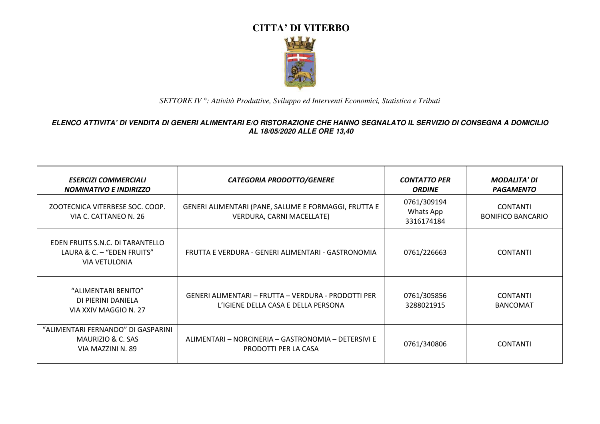

| <b>ESERCIZI COMMERCIALI</b><br><b>NOMINATIVO E INDIRIZZO</b>                           | <b>CATEGORIA PRODOTTO/GENERE</b>                                                           | <b>CONTATTO PER</b><br><b>ORDINE</b>   | <b>MODALITA' DI</b><br><b>PAGAMENTO</b>     |
|----------------------------------------------------------------------------------------|--------------------------------------------------------------------------------------------|----------------------------------------|---------------------------------------------|
| ZOOTECNICA VITERBESE SOC. COOP.<br>VIA C. CATTANEO N. 26                               | GENERI ALIMENTARI (PANE, SALUME E FORMAGGI, FRUTTA E<br>VERDURA, CARNI MACELLATE)          | 0761/309194<br>Whats App<br>3316174184 | <b>CONTANTI</b><br><b>BONIFICO BANCARIO</b> |
| EDEN FRUITS S.N.C. DI TARANTELLO<br>LAURA & C. - "EDEN FRUITS"<br><b>VIA VETULONIA</b> | FRUTTA E VERDURA - GENERI ALIMENTARI - GASTRONOMIA                                         | 0761/226663                            | <b>CONTANTI</b>                             |
| "ALIMENTARI BENITO"<br>DI PIERINI DANIELA<br>VIA XXIV MAGGIO N. 27                     | GENERI ALIMENTARI - FRUTTA - VERDURA - PRODOTTI PER<br>L'IGIENE DELLA CASA E DELLA PERSONA | 0761/305856<br>3288021915              | <b>CONTANTI</b><br><b>BANCOMAT</b>          |
| "ALIMENTARI FERNANDO" DI GASPARINI<br>MAURIZIO & C. SAS<br>VIA MAZZINI N. 89           | ALIMENTARI - NORCINERIA - GASTRONOMIA - DETERSIVI E<br>PRODOTTI PER LA CASA                | 0761/340806                            | <b>CONTANTI</b>                             |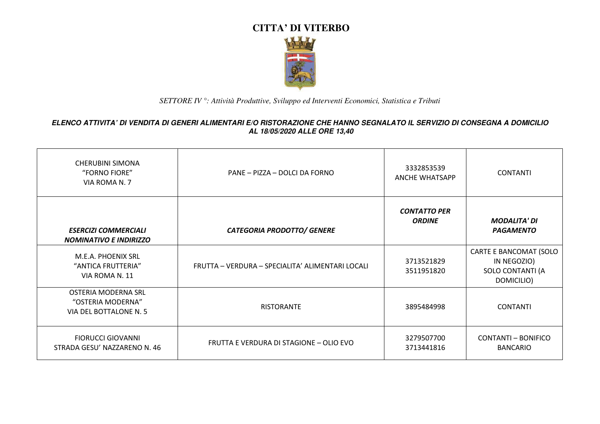

| <b>CHERUBINI SIMONA</b><br>"FORNO FIORE"<br>VIA ROMA N. 7          | PANE - PIZZA - DOLCI DA FORNO                    | 3332853539<br><b>ANCHE WHATSAPP</b>  | <b>CONTANTI</b>                                                         |
|--------------------------------------------------------------------|--------------------------------------------------|--------------------------------------|-------------------------------------------------------------------------|
| <b>ESERCIZI COMMERCIALI</b><br><b>NOMINATIVO E INDIRIZZO</b>       | <b>CATEGORIA PRODOTTO/ GENERE</b>                | <b>CONTATTO PER</b><br><b>ORDINE</b> | <b>MODALITA' DI</b><br><b>PAGAMENTO</b>                                 |
| M.E.A. PHOENIX SRL<br>"ANTICA FRUTTERIA"<br>VIA ROMA N. 11         | FRUTTA - VERDURA - SPECIALITA' ALIMENTARI LOCALI | 3713521829<br>3511951820             | CARTE E BANCOMAT (SOLO<br>IN NEGOZIO)<br>SOLO CONTANTI (A<br>DOMICILIO) |
| OSTERIA MODERNA SRL<br>"OSTERIA MODERNA"<br>VIA DEL BOTTALONE N. 5 | <b>RISTORANTE</b>                                | 3895484998                           | <b>CONTANTI</b>                                                         |
| <b>FIORUCCI GIOVANNI</b><br>STRADA GESU' NAZZARENO N. 46           | FRUTTA E VERDURA DI STAGIONE – OLIO EVO          | 3279507700<br>3713441816             | CONTANTI - BONIFICO<br><b>BANCARIO</b>                                  |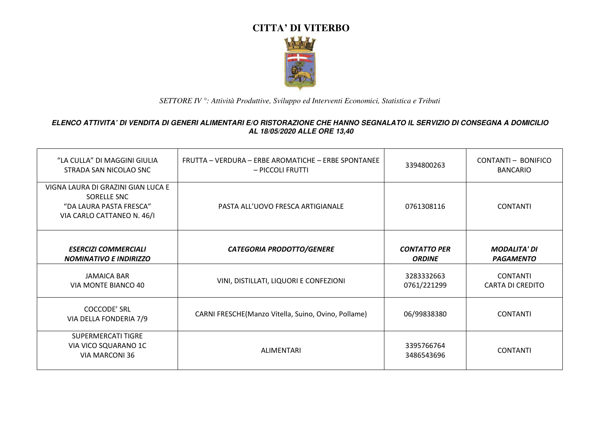

| "LA CULLA" DI MAGGINI GIULIA<br>STRADA SAN NICOLAO SNC                                                     | FRUTTA – VERDURA – ERBE AROMATICHE – ERBE SPONTANEE<br>– PICCOLI FRUTTI | 3394800263                           | CONTANTI - BONIFICO<br><b>BANCARIO</b>     |
|------------------------------------------------------------------------------------------------------------|-------------------------------------------------------------------------|--------------------------------------|--------------------------------------------|
| VIGNA LAURA DI GRAZINI GIAN LUCA E<br>SORELLE SNC<br>"DA LAURA PASTA FRESCA"<br>VIA CARLO CATTANEO N. 46/I | PASTA ALL'UOVO FRESCA ARTIGIANALE                                       | 0761308116                           | <b>CONTANTI</b>                            |
| <b>ESERCIZI COMMERCIALI</b><br><b>NOMINATIVO E INDIRIZZO</b>                                               | <b>CATEGORIA PRODOTTO/GENERE</b>                                        | <b>CONTATTO PER</b><br><b>ORDINE</b> | <b>MODALITA' DI</b><br><b>PAGAMENTO</b>    |
| <b>JAMAICA BAR</b><br>VIA MONTE BIANCO 40                                                                  | VINI, DISTILLATI, LIQUORI E CONFEZIONI                                  | 3283332663<br>0761/221299            | <b>CONTANTI</b><br><b>CARTA DI CREDITO</b> |
| <b>COCCODE' SRL</b><br>VIA DELLA FONDERIA 7/9                                                              | CARNI FRESCHE(Manzo Vitella, Suino, Ovino, Pollame)                     | 06/99838380                          | <b>CONTANTI</b>                            |
| SUPERMERCATI TIGRE<br>VIA VICO SQUARANO 1C<br>VIA MARCONI 36                                               | ALIMENTARI                                                              | 3395766764<br>3486543696             | <b>CONTANTI</b>                            |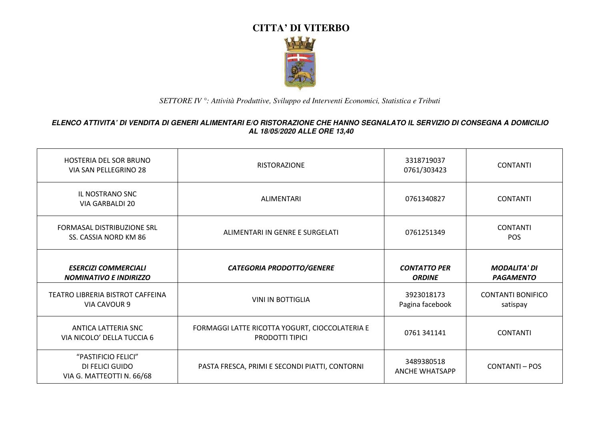

| <b>HOSTERIA DEL SOR BRUNO</b><br>VIA SAN PELLEGRINO 28              | <b>RISTORAZIONE</b>                                                      | 3318719037<br>0761/303423            | <b>CONTANTI</b>                         |
|---------------------------------------------------------------------|--------------------------------------------------------------------------|--------------------------------------|-----------------------------------------|
| <b>IL NOSTRANO SNC</b><br>VIA GARBALDI 20                           | ALIMENTARI                                                               | 0761340827                           | <b>CONTANTI</b>                         |
| FORMASAL DISTRIBUZIONE SRL<br>SS. CASSIA NORD KM 86                 | ALIMENTARI IN GENRE E SURGELATI                                          | 0761251349                           | <b>CONTANTI</b><br><b>POS</b>           |
| <b>ESERCIZI COMMERCIALI</b><br><b>NOMINATIVO E INDIRIZZO</b>        | <b>CATEGORIA PRODOTTO/GENERE</b>                                         | <b>CONTATTO PER</b><br><b>ORDINE</b> | <b>MODALITA' DI</b><br><b>PAGAMENTO</b> |
| TEATRO LIBRERIA BISTROT CAFFEINA<br>VIA CAVOUR 9                    | <b>VINI IN BOTTIGLIA</b>                                                 | 3923018173<br>Pagina facebook        | <b>CONTANTI BONIFICO</b><br>satispay    |
| ANTICA LATTERIA SNC<br>VIA NICOLO' DELLA TUCCIA 6                   | FORMAGGI LATTE RICOTTA YOGURT, CIOCCOLATERIA E<br><b>PRODOTTI TIPICI</b> | 0761 341141                          | <b>CONTANTI</b>                         |
| "PASTIFICIO FELICI"<br>DI FELICI GUIDO<br>VIA G. MATTEOTTI N. 66/68 | PASTA FRESCA, PRIMI E SECONDI PIATTI, CONTORNI                           | 3489380518<br><b>ANCHE WHATSAPP</b>  | <b>CONTANTI-POS</b>                     |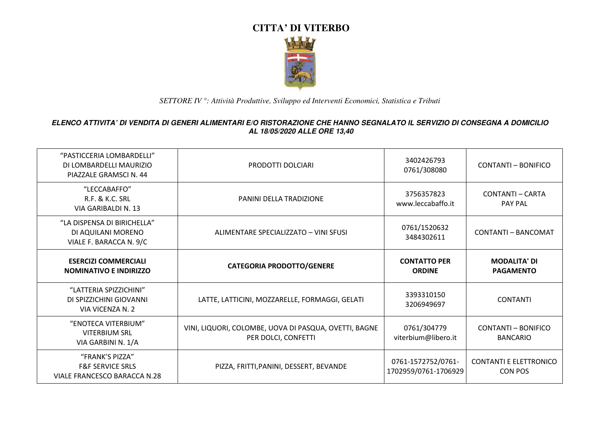

| "PASTICCERIA LOMBARDELLI"<br>DI LOMBARDELLI MAURIZIO<br>PIAZZALE GRAMSCI N. 44 | PRODOTTI DOLCIARI                                                            | 3402426793<br>0761/308080                  | <b>CONTANTI - BONIFICO</b>                      |
|--------------------------------------------------------------------------------|------------------------------------------------------------------------------|--------------------------------------------|-------------------------------------------------|
| "LECCABAFFO"<br><b>R.F. &amp; K.C. SRL</b><br>VIA GARIBALDI N. 13              | PANINI DELLA TRADIZIONE                                                      | 3756357823<br>www.leccabaffo.it            | <b>CONTANTI - CARTA</b><br><b>PAY PAL</b>       |
| "LA DISPENSA DI BIRICHELLA"<br>DI AQUILANI MORENO<br>VIALE F. BARACCA N. 9/C   | ALIMENTARE SPECIALIZZATO - VINI SFUSI                                        | 0761/1520632<br>3484302611                 | CONTANTI - BANCOMAT                             |
| <b>ESERCIZI COMMERCIALI</b><br><b>NOMINATIVO E INDIRIZZO</b>                   | <b>CATEGORIA PRODOTTO/GENERE</b>                                             | <b>CONTATTO PER</b><br><b>ORDINE</b>       | <b>MODALITA' DI</b><br><b>PAGAMENTO</b>         |
| "LATTERIA SPIZZICHINI"<br>DI SPIZZICHINI GIOVANNI<br>VIA VICENZA N. 2          | LATTE, LATTICINI, MOZZARELLE, FORMAGGI, GELATI                               | 3393310150<br>3206949697                   | <b>CONTANTI</b>                                 |
| "ENOTECA VITERBIUM"<br><b>VITERBIUM SRL</b><br>VIA GARBINI N. 1/A              | VINI, LIQUORI, COLOMBE, UOVA DI PASQUA, OVETTI, BAGNE<br>PER DOLCI, CONFETTI | 0761/304779<br>viterbium@libero.it         | CONTANTI - BONIFICO<br><b>BANCARIO</b>          |
| "FRANK'S PIZZA"<br><b>F&amp;F SERVICE SRLS</b><br>VIALE FRANCESCO BARACCA N.28 | PIZZA, FRITTI, PANINI, DESSERT, BEVANDE                                      | 0761-1572752/0761-<br>1702959/0761-1706929 | <b>CONTANTI E ELETTRONICO</b><br><b>CON POS</b> |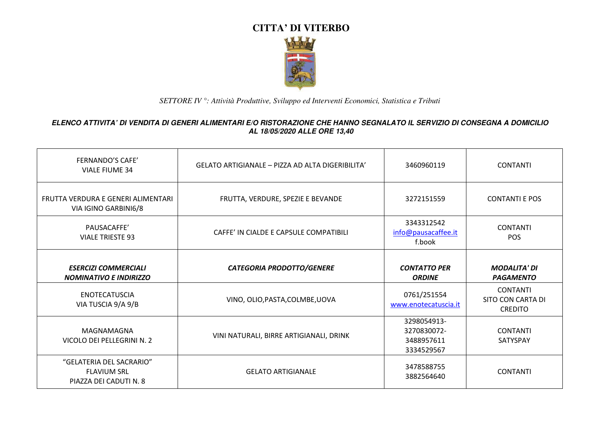

| <b>FERNANDO'S CAFE'</b><br><b>VIALE FIUME 34</b>                         | GELATO ARTIGIANALE - PIZZA AD ALTA DIGERIBILITA' | 3460960119                                             | <b>CONTANTI</b>                                        |
|--------------------------------------------------------------------------|--------------------------------------------------|--------------------------------------------------------|--------------------------------------------------------|
| FRUTTA VERDURA E GENERI ALIMENTARI<br>VIA IGINO GARBINI6/8               | FRUTTA, VERDURE, SPEZIE E BEVANDE                | 3272151559                                             | <b>CONTANTI E POS</b>                                  |
| PAUSACAFFE'<br><b>VIALE TRIESTE 93</b>                                   | CAFFE' IN CIALDE E CAPSULE COMPATIBILI           | 3343312542<br>info@pausacaffee.it<br>f.book            | <b>CONTANTI</b><br><b>POS</b>                          |
| <b>ESERCIZI COMMERCIALI</b><br><b>NOMINATIVO E INDIRIZZO</b>             | <b>CATEGORIA PRODOTTO/GENERE</b>                 | <b>CONTATTO PER</b><br><b>ORDINE</b>                   | <b>MODALITA' DI</b><br><b>PAGAMENTO</b>                |
| <b>ENOTECATUSCIA</b><br>VIA TUSCIA 9/A 9/B                               | VINO, OLIO, PASTA, COLMBE, UOVA                  | 0761/251554<br>www.enotecatuscia.it                    | <b>CONTANTI</b><br>SITO CON CARTA DI<br><b>CREDITO</b> |
| MAGNAMAGNA<br>VICOLO DEI PELLEGRINI N. 2                                 | VINI NATURALI, BIRRE ARTIGIANALI, DRINK          | 3298054913-<br>3270830072-<br>3488957611<br>3334529567 | <b>CONTANTI</b><br>SATYSPAY                            |
| "GELATERIA DEL SACRARIO"<br><b>FLAVIUM SRL</b><br>PIAZZA DEI CADUTI N. 8 | <b>GELATO ARTIGIANALE</b>                        | 3478588755<br>3882564640                               | <b>CONTANTI</b>                                        |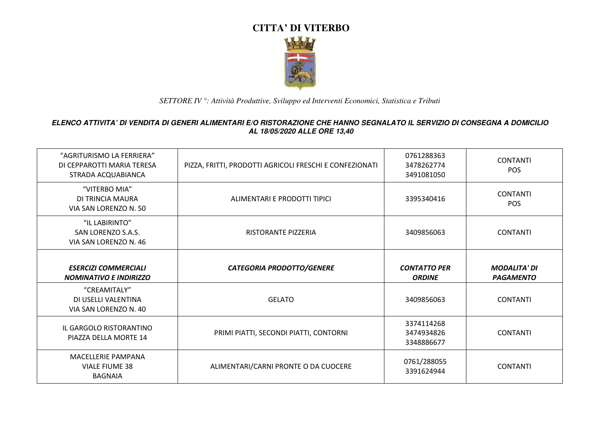

| "AGRITURISMO LA FERRIERA"<br>DI CEPPAROTTI MARIA TERESA<br>STRADA ACQUABIANCA | PIZZA, FRITTI, PRODOTTI AGRICOLI FRESCHI E CONFEZIONATI | 0761288363<br>3478262774<br>3491081050 | <b>CONTANTI</b><br><b>POS</b>           |
|-------------------------------------------------------------------------------|---------------------------------------------------------|----------------------------------------|-----------------------------------------|
| "VITERBO MIA"<br>DI TRINCIA MAURA<br>VIA SAN LORENZO N. 50                    | ALIMENTARI E PRODOTTI TIPICI                            | 3395340416                             | <b>CONTANTI</b><br><b>POS</b>           |
| "IL LABIRINTO"<br>SAN LORENZO S.A.S.<br>VIA SAN LORENZO N. 46                 | RISTORANTE PIZZERIA                                     | 3409856063                             | <b>CONTANTI</b>                         |
| <b>ESERCIZI COMMERCIALI</b><br><b>NOMINATIVO E INDIRIZZO</b>                  | <b>CATEGORIA PRODOTTO/GENERE</b>                        | <b>CONTATTO PER</b><br><b>ORDINE</b>   | <b>MODALITA' DI</b><br><b>PAGAMENTO</b> |
| "CREAMITALY"<br>DI USELLI VALENTINA<br>VIA SAN LORENZO N. 40                  | <b>GELATO</b>                                           | 3409856063                             | <b>CONTANTI</b>                         |
| IL GARGOLO RISTORANTINO<br>PIAZZA DELLA MORTE 14                              | PRIMI PIATTI, SECONDI PIATTI, CONTORNI                  | 3374114268<br>3474934826<br>3348886677 | <b>CONTANTI</b>                         |
| <b>MACELLERIE PAMPANA</b><br><b>VIALE FIUME 38</b><br><b>BAGNAIA</b>          | ALIMENTARI/CARNI PRONTE O DA CUOCERE                    | 0761/288055<br>3391624944              | <b>CONTANTI</b>                         |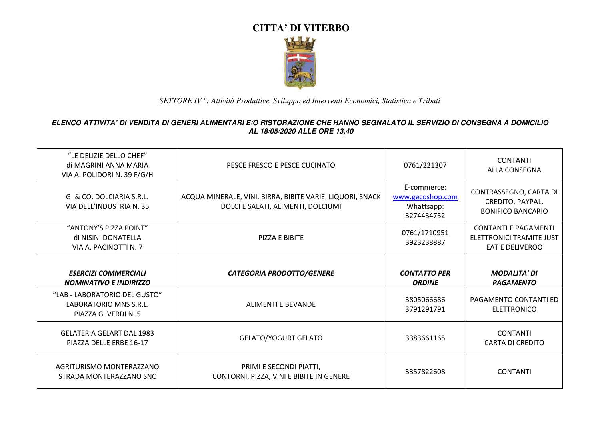

| "LE DELIZIE DELLO CHEF"<br>di MAGRINI ANNA MARIA<br>VIA A. POLIDORI N. 39 F/G/H | PESCE FRESCO E PESCE CUCINATO                                                                   | 0761/221307                                                 | <b>CONTANTI</b><br><b>ALLA CONSEGNA</b>                                           |
|---------------------------------------------------------------------------------|-------------------------------------------------------------------------------------------------|-------------------------------------------------------------|-----------------------------------------------------------------------------------|
| G. & CO. DOLCIARIA S.R.L.<br>VIA DELL'INDUSTRIA N. 35                           | ACQUA MINERALE, VINI, BIRRA, BIBITE VARIE, LIQUORI, SNACK<br>DOLCI E SALATI, ALIMENTI, DOLCIUMI | E-commerce:<br>www.gecoshop.com<br>Whattsapp:<br>3274434752 | CONTRASSEGNO, CARTA DI<br>CREDITO, PAYPAL,<br><b>BONIFICO BANCARIO</b>            |
| "ANTONY'S PIZZA POINT"<br>di NISINI DONATELLA<br>VIA A. PACINOTTI N. 7          | PIZZA E BIBITE                                                                                  | 0761/1710951<br>3923238887                                  | <b>CONTANTI E PAGAMENTI</b><br>ELETTRONICI TRAMITE JUST<br><b>EAT E DELIVEROO</b> |
|                                                                                 |                                                                                                 |                                                             |                                                                                   |
| <b>ESERCIZI COMMERCIALI</b><br><b>NOMINATIVO E INDIRIZZO</b>                    | <b>CATEGORIA PRODOTTO/GENERE</b>                                                                | <b>CONTATTO PER</b><br><b>ORDINE</b>                        | <b>MODALITA' DI</b><br><b>PAGAMENTO</b>                                           |
| "LAB - LABORATORIO DEL GUSTO"<br>LABORATORIO MNS S.R.L.<br>PIAZZA G. VERDI N. 5 | <b>ALIMENTI E BEVANDE</b>                                                                       | 3805066686<br>3791291791                                    | <b>PAGAMENTO CONTANTI ED</b><br><b>ELETTRONICO</b>                                |
| <b>GELATERIA GELART DAL 1983</b><br>PIAZZA DELLE ERBE 16-17                     | <b>GELATO/YOGURT GELATO</b>                                                                     | 3383661165                                                  | <b>CONTANTI</b><br><b>CARTA DI CREDITO</b>                                        |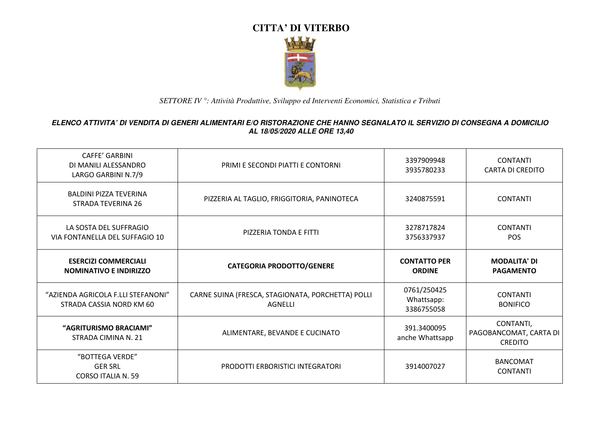

| <b>CAFFE' GARBINI</b><br>DI MANILI ALESSANDRO<br>LARGO GARBINI N.7/9 | PRIMI E SECONDI PIATTI E CONTORNI                            | 3397909948<br>3935780233                | <b>CONTANTI</b><br><b>CARTA DI CREDITO</b>            |
|----------------------------------------------------------------------|--------------------------------------------------------------|-----------------------------------------|-------------------------------------------------------|
| <b>BALDINI PIZZA TEVERINA</b><br>STRADA TEVERINA 26                  | PIZZERIA AL TAGLIO, FRIGGITORIA, PANINOTECA                  | 3240875591                              | <b>CONTANTI</b>                                       |
| LA SOSTA DEL SUFFRAGIO<br>VIA FONTANELLA DEL SUFFAGIO 10             | PIZZERIA TONDA E FITTI                                       | 3278717824<br>3756337937                | <b>CONTANTI</b><br><b>POS</b>                         |
| <b>ESERCIZI COMMERCIALI</b><br><b>NOMINATIVO E INDIRIZZO</b>         | <b>CATEGORIA PRODOTTO/GENERE</b>                             | <b>CONTATTO PER</b><br><b>ORDINE</b>    | <b>MODALITA' DI</b><br><b>PAGAMENTO</b>               |
| "AZIENDA AGRICOLA F.LLI STEFANONI"<br>STRADA CASSIA NORD KM 60       | CARNE SUINA (FRESCA, STAGIONATA, PORCHETTA) POLLI<br>AGNELLI | 0761/250425<br>Whattsapp:<br>3386755058 | <b>CONTANTI</b><br><b>BONIFICO</b>                    |
| "AGRITURISMO BRACIAMI"<br>STRADA CIMINA N. 21                        | ALIMENTARE, BEVANDE E CUCINATO                               | 391.3400095<br>anche Whattsapp          | CONTANTI,<br>PAGOBANCOMAT, CARTA DI<br><b>CREDITO</b> |
| "BOTTEGA VERDE"<br><b>GER SRL</b><br>CORSO ITALIA N. 59              | PRODOTTI ERBORISTICI INTEGRATORI                             | 3914007027                              | <b>BANCOMAT</b><br><b>CONTANTI</b>                    |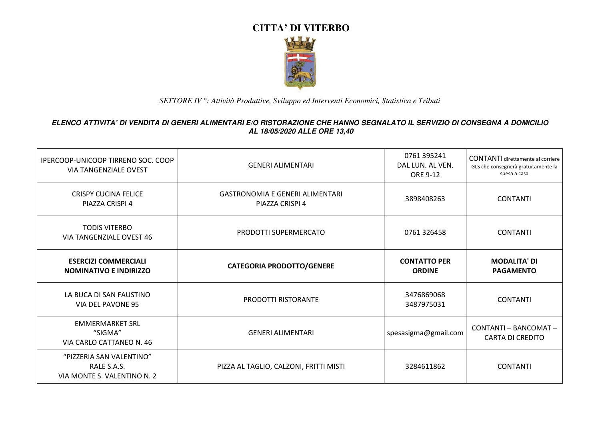

| IPERCOOP-UNICOOP TIRRENO SOC. COOP<br><b>VIA TANGENZIALE OVEST</b>     | <b>GENERI ALIMENTARI</b>                                  | 0761 395241<br>DAL LUN. AL VEN.<br>ORE 9-12 | <b>CONTANTI</b> direttamente al corriere<br>GLS che consegnerà gratuitamente la<br>spesa a casa |
|------------------------------------------------------------------------|-----------------------------------------------------------|---------------------------------------------|-------------------------------------------------------------------------------------------------|
| <b>CRISPY CUCINA FELICE</b><br>PIAZZA CRISPI 4                         | <b>GASTRONOMIA E GENERI ALIMENTARI</b><br>PIAZZA CRISPI 4 | 3898408263                                  | <b>CONTANTI</b>                                                                                 |
| <b>TODIS VITERBO</b><br>VIA TANGENZIALE OVEST 46                       | PRODOTTI SUPERMERCATO                                     | 0761 326458                                 | <b>CONTANTI</b>                                                                                 |
| <b>ESERCIZI COMMERCIALI</b><br><b>NOMINATIVO E INDIRIZZO</b>           | <b>CATEGORIA PRODOTTO/GENERE</b>                          | <b>CONTATTO PER</b><br><b>ORDINE</b>        | <b>MODALITA' DI</b><br><b>PAGAMENTO</b>                                                         |
| LA BUCA DI SAN FAUSTINO<br>VIA DEL PAVONE 95                           | <b>PRODOTTI RISTORANTE</b>                                | 3476869068<br>3487975031                    | <b>CONTANTI</b>                                                                                 |
| <b>EMMERMARKET SRL</b><br>"SIGMA"<br>VIA CARLO CATTANEO N. 46          | <b>GENERI ALIMENTARI</b>                                  | spesasigma@gmail.com                        | CONTANTI - BANCOMAT -<br><b>CARTA DI CREDITO</b>                                                |
| "PIZZERIA SAN VALENTINO"<br>RALE S.A.S.<br>VIA MONTE S. VALENTINO N. 2 | PIZZA AL TAGLIO, CALZONI, FRITTI MISTI                    | 3284611862                                  | <b>CONTANTI</b>                                                                                 |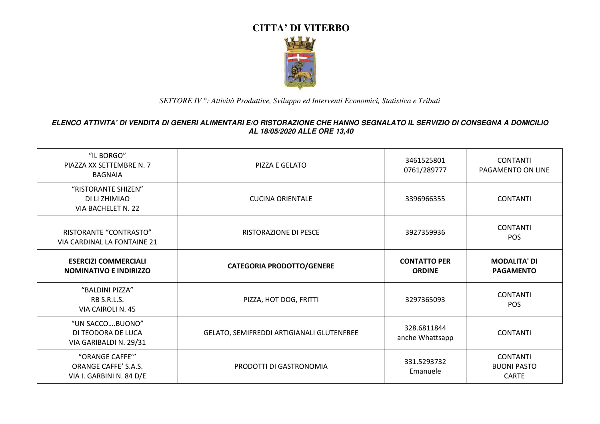

| "IL BORGO"<br>PIAZZA XX SETTEMBRE N. 7<br><b>BAGNAIA</b>            | PIZZA E GELATO                            | 3461525801<br>0761/289777            | <b>CONTANTI</b><br>PAGAMENTO ON LINE                  |
|---------------------------------------------------------------------|-------------------------------------------|--------------------------------------|-------------------------------------------------------|
| "RISTORANTE SHIZEN"<br>DI LI ZHIMIAO<br>VIA BACHELET N. 22          | <b>CUCINA ORIENTALE</b>                   | 3396966355                           | <b>CONTANTI</b>                                       |
| RISTORANTE "CONTRASTO"<br>VIA CARDINAL LA FONTAINE 21               | <b>RISTORAZIONE DI PESCE</b>              | 3927359936                           | <b>CONTANTI</b><br><b>POS</b>                         |
| <b>ESERCIZI COMMERCIALI</b><br><b>NOMINATIVO E INDIRIZZO</b>        | <b>CATEGORIA PRODOTTO/GENERE</b>          | <b>CONTATTO PER</b><br><b>ORDINE</b> | <b>MODALITA' DI</b><br><b>PAGAMENTO</b>               |
| "BALDINI PIZZA"<br>RB S.R.L.S.<br>VIA CAIROLI N. 45                 | PIZZA, HOT DOG, FRITTI                    | 3297365093                           | <b>CONTANTI</b><br><b>POS</b>                         |
| "UN SACCOBUONO"<br>DI TEODORA DE LUCA<br>VIA GARIBALDI N. 29/31     | GELATO, SEMIFREDDI ARTIGIANALI GLUTENFREE | 328.6811844<br>anche Whattsapp       | <b>CONTANTI</b>                                       |
| "ORANGE CAFFE'"<br>ORANGE CAFFE' S.A.S.<br>VIA I. GARBINI N. 84 D/E | PRODOTTI DI GASTRONOMIA                   | 331.5293732<br>Emanuele              | <b>CONTANTI</b><br><b>BUONI PASTO</b><br><b>CARTE</b> |